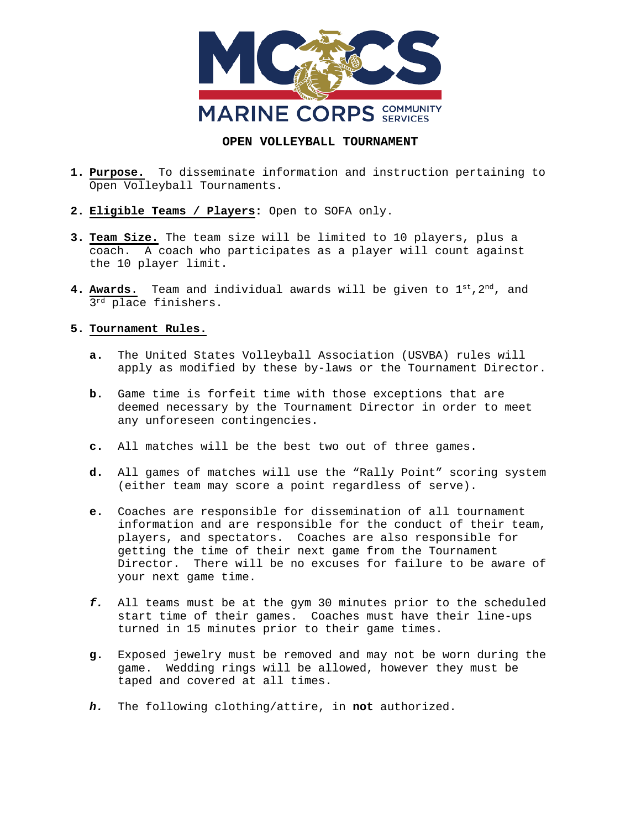

## **OPEN VOLLEYBALL TOURNAMENT**

- **1. Purpose.** To disseminate information and instruction pertaining to Open Volleyball Tournaments.
- **2. Eligible Teams / Players:** Open to SOFA only.
- **3. Team Size.** The team size will be limited to 10 players, plus a coach. A coach who participates as a player will count against the 10 player limit.
- **4. Awards**. Team and individual awards will be given to 1st,2nd, and 3rd place finishers.

## **5. Tournament Rules.**

- **a.** The United States Volleyball Association (USVBA) rules will apply as modified by these by-laws or the Tournament Director.
- **b.** Game time is forfeit time with those exceptions that are deemed necessary by the Tournament Director in order to meet any unforeseen contingencies.
- **c.** All matches will be the best two out of three games.
- **d.** All games of matches will use the "Rally Point" scoring system (either team may score a point regardless of serve).
- **e.** Coaches are responsible for dissemination of all tournament information and are responsible for the conduct of their team, players, and spectators. Coaches are also responsible for getting the time of their next game from the Tournament Director. There will be no excuses for failure to be aware of your next game time.
- *f.* All teams must be at the gym 30 minutes prior to the scheduled start time of their games. Coaches must have their line-ups turned in 15 minutes prior to their game times.
- **g.** Exposed jewelry must be removed and may not be worn during the game. Wedding rings will be allowed, however they must be taped and covered at all times.
- *h.* The following clothing/attire, in **not** authorized.